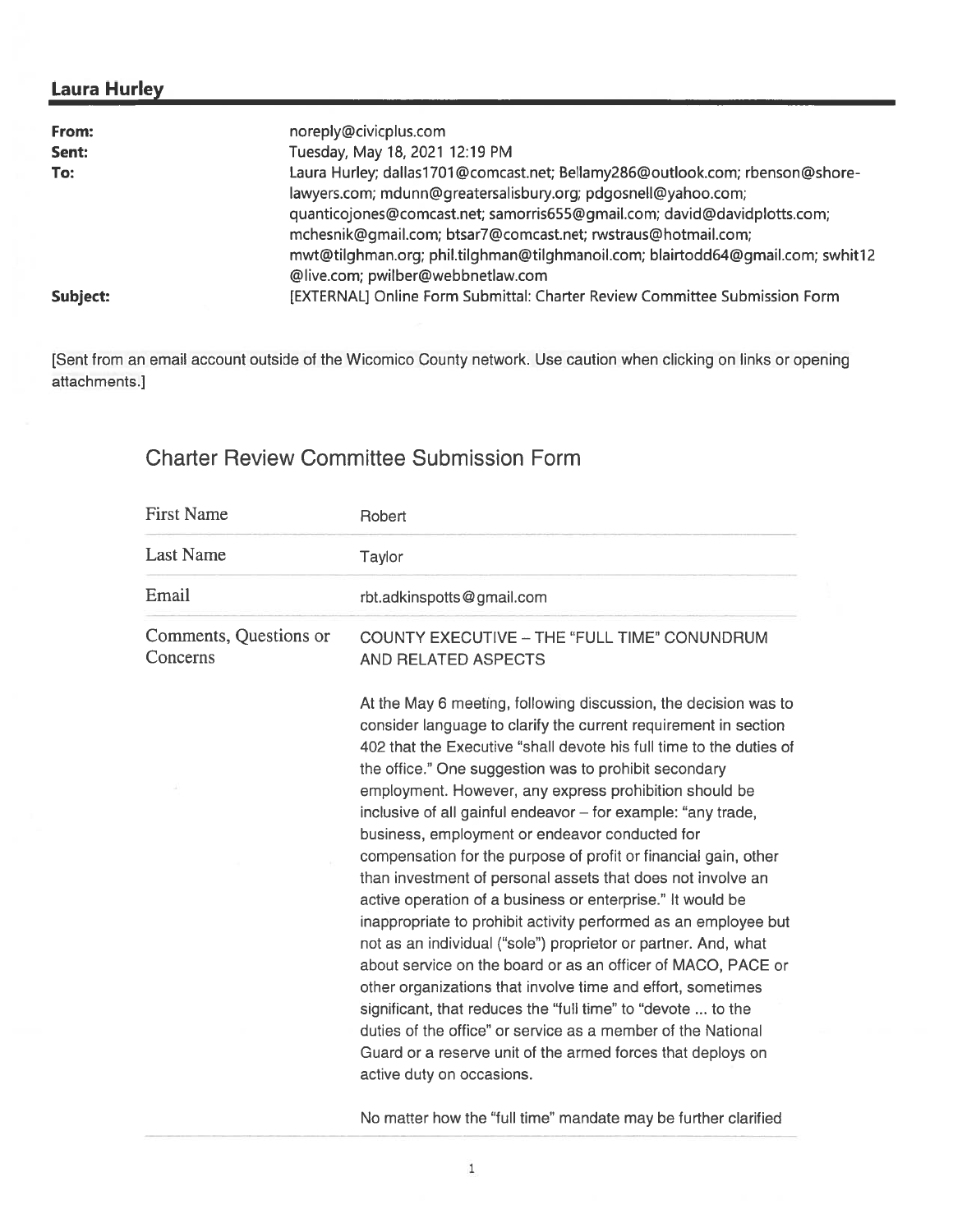# Laura Hurley

| From:    | noreply@civicplus.com                                                           |
|----------|---------------------------------------------------------------------------------|
| Sent:    | Tuesday, May 18, 2021 12:19 PM                                                  |
| To:      | Laura Hurley; dallas1701@comcast.net; Bellamy286@outlook.com; rbenson@shore-    |
|          | lawyers.com; mdunn@greatersalisbury.org; pdgosnell@yahoo.com;                   |
|          | quanticojones@comcast.net; samorris655@gmail.com; david@davidplotts.com;        |
|          | mchesnik@gmail.com; btsar7@comcast.net; rwstraus@hotmail.com;                   |
|          | mwt@tilghman.org; phil.tilghman@tilghmanoil.com; blairtodd64@qmail.com; swhit12 |
|          | @live.com; pwilber@webbnetlaw.com                                               |
| Subject: | [EXTERNAL] Online Form Submittal: Charter Review Committee Submission Form      |

[Sent from an email account outside of the Wicomico County network. Use caution when clicking on links or opening attachments.]

# Charter Review Committee Submission Form

| <b>First Name</b>                  | Robert                                                                                                                                                                                                                                                                                                                                                                                                                                                                                                                                                                                                                                                                                                                                                                                                                                                                                                                                                                                                                                                                      |
|------------------------------------|-----------------------------------------------------------------------------------------------------------------------------------------------------------------------------------------------------------------------------------------------------------------------------------------------------------------------------------------------------------------------------------------------------------------------------------------------------------------------------------------------------------------------------------------------------------------------------------------------------------------------------------------------------------------------------------------------------------------------------------------------------------------------------------------------------------------------------------------------------------------------------------------------------------------------------------------------------------------------------------------------------------------------------------------------------------------------------|
| <b>Last Name</b>                   | Taylor                                                                                                                                                                                                                                                                                                                                                                                                                                                                                                                                                                                                                                                                                                                                                                                                                                                                                                                                                                                                                                                                      |
| Email                              | rbt.adkinspotts@gmail.com                                                                                                                                                                                                                                                                                                                                                                                                                                                                                                                                                                                                                                                                                                                                                                                                                                                                                                                                                                                                                                                   |
| Comments, Questions or<br>Concerns | COUNTY EXECUTIVE - THE "FULL TIME" CONUNDRUM<br>AND RELATED ASPECTS<br>At the May 6 meeting, following discussion, the decision was to                                                                                                                                                                                                                                                                                                                                                                                                                                                                                                                                                                                                                                                                                                                                                                                                                                                                                                                                      |
|                                    | consider language to clarify the current requirement in section<br>402 that the Executive "shall devote his full time to the duties of<br>the office." One suggestion was to prohibit secondary<br>employment. However, any express prohibition should be<br>inclusive of all gainful endeavor - for example: "any trade,<br>business, employment or endeavor conducted for<br>compensation for the purpose of profit or financial gain, other<br>than investment of personal assets that does not involve an<br>active operation of a business or enterprise." It would be<br>inappropriate to prohibit activity performed as an employee but<br>not as an individual ("sole") proprietor or partner. And, what<br>about service on the board or as an officer of MACO, PACE or<br>other organizations that involve time and effort, sometimes<br>significant, that reduces the "full time" to "devote  to the<br>duties of the office" or service as a member of the National<br>Guard or a reserve unit of the armed forces that deploys on<br>active duty on occasions. |
|                                    | No matter how the "full time" mandate may be further clarified                                                                                                                                                                                                                                                                                                                                                                                                                                                                                                                                                                                                                                                                                                                                                                                                                                                                                                                                                                                                              |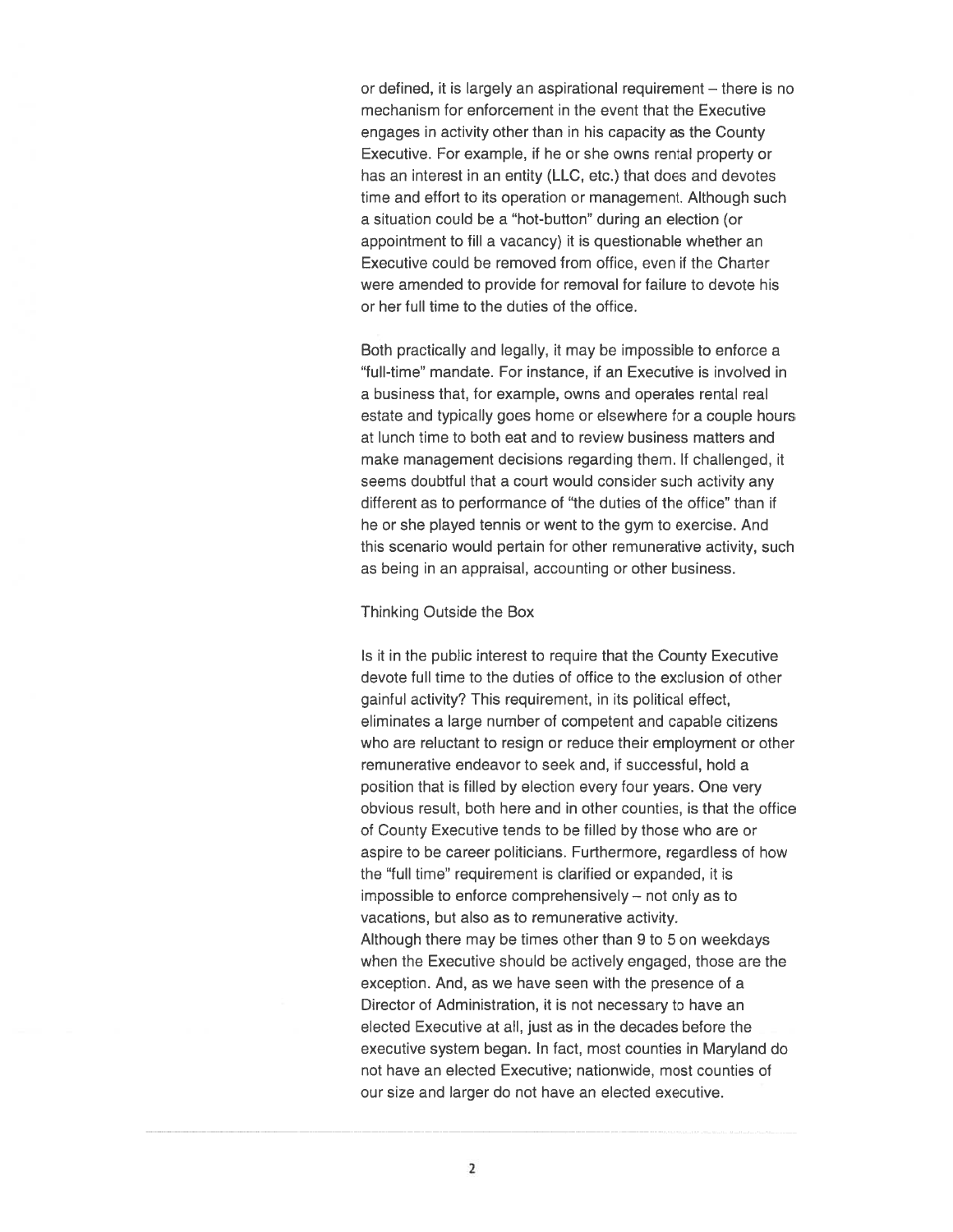or defined, it is largely an aspirational requirement — there is no mechanism for enforcement in the event that the Executive engages in activity other than in his capacity as the County Executive. For example, if he or she owns rental property or has an interest in an entity (LLC, etc.) that does and devotes time and effort to its operation or management. Although such <sup>a</sup> situation could be <sup>a</sup> "hot-button" during an election (or appointment to fill <sup>a</sup> vacancy) it is questionable whether an Executive could be removed from office, even if the Charter were amended to provide for removal for failure to devote his or her full time to the duties of the office.

Both practically and legally, it may be impossible to enforce <sup>a</sup> "full-time" mandate. For instance, if an Executive is involved in <sup>a</sup> business that, for example, owns and operates rental real estate and typically goes home or elsewhere for <sup>a</sup> couple hours at lunch time to both eat and to review business matters and make managemen<sup>t</sup> decisions regarding them. If challenged, it seems doubtful that <sup>a</sup> court would consider such activity any different as to performance of "the duties of the office" than if he or she played tennis or went to the gym to exercise. And this scenario would pertain for other remunerative activity, such as being in an appraisal, accounting or other business.

### Thinking Outside the Box

Is it in the public interest to require that the County Executive devote full time to the duties of office to the exclusion of other gainful activity? This requirement, in its political effect, eliminates <sup>a</sup> large number of competent and capable citizens who are reluctant to resign or reduce their employment or other remunerative endeavor to seek and, if successful, hold <sup>a</sup> position that is filled by election every four years. One very obvious result, both here and in other counties, is that the office of County Executive tends to be filled by those who are or aspire to be career politicians. Furthermore, regardless of how the "full time" requirement is clarified or expanded, it is impossible to enforce comprehensively — not only as to vacations, but also as to remunerative activity. Although there may be times other than 9 to 5 on weekdays when the Executive should be actively engaged, those are the exception. And, as we have seen with the presence of <sup>a</sup> Director of Administration, it is not necessary to have an elected Executive at all, just as in the decades before the executive system began. In fact, most counties in Maryland do not have an elected Executive; nationwide, most counties of our size and larger do not have an elected executive.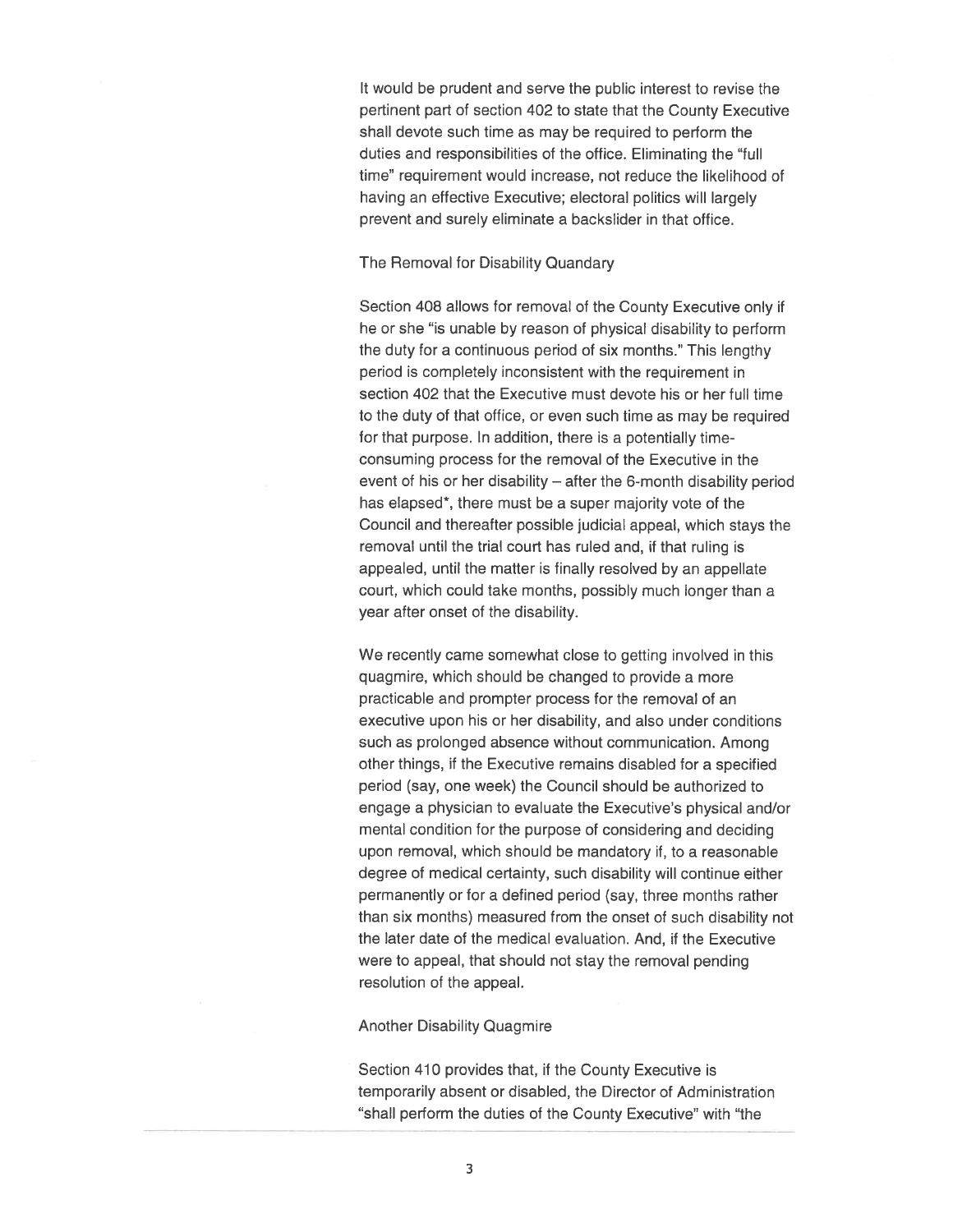It would be prudent and serve the public interest to revise the pertinent par<sup>t</sup> of section 402 to state that the County Executive shall devote such time as may be required to perform the duties and responsibilities of the office. Eliminating the "full time" requirement would increase, not reduce the likelihood of having an effective Executive; electoral politics will largely preven<sup>t</sup> and surely eliminate <sup>a</sup> backslider in that office.

#### The Removal for Disability Quandary

Section 408 allows for removal of the County Executive only if he or she "is unable by reason of physical disability to perform the duty for <sup>a</sup> continuous period of six months." This lengthy period is completely inconsistent with the requirement in section 402 that the Executive must devote his or her full time to the duty of that office, or even such time as may be required for that purpose. In addition, there is <sup>a</sup> potentially timeconsuming process for the removal of the Executive in the event of his or her disability — after the 6-month disability period has elapsed\*, there must be <sup>a</sup> super majority vote of the Council and thereafter possible judicial appeal, which stays the removal until the trial court has ruled and, if that ruling is appealed, until the matter is finally resolved by an appellate court, which could take months, possibly much longer than <sup>a</sup> year after onset of the disability.

We recently came somewhat close to getting involved in this quagmire, which should be changed to provide <sup>a</sup> more practicable and prompter process for the removal of an executive upon his or her disability, and also under conditions such as prolonged absence without communication. Among other things, if the Executive remains disabled for <sup>a</sup> specified period (say, one week) the Council should be authorized to engage <sup>a</sup> physician to evaluate the Executive's physical and/or mental condition for the purpose of considering and deciding upon removal, which should be mandatory if, to <sup>a</sup> reasonable degree of medical certainty, such disability will continue either permanently or for <sup>a</sup> defined period (say, three months rather than six months) measured from the onset of such disability not the later date of the medical evaluation. And, if the Executive were to appeal, that should not stay the removal pending resolution of the appeal.

#### Another Disability Quagmire

Section 410 provides that, if the County Executive is temporarily absent or disabled, the Director of Administration "shall perform the duties of the County Executive" with "the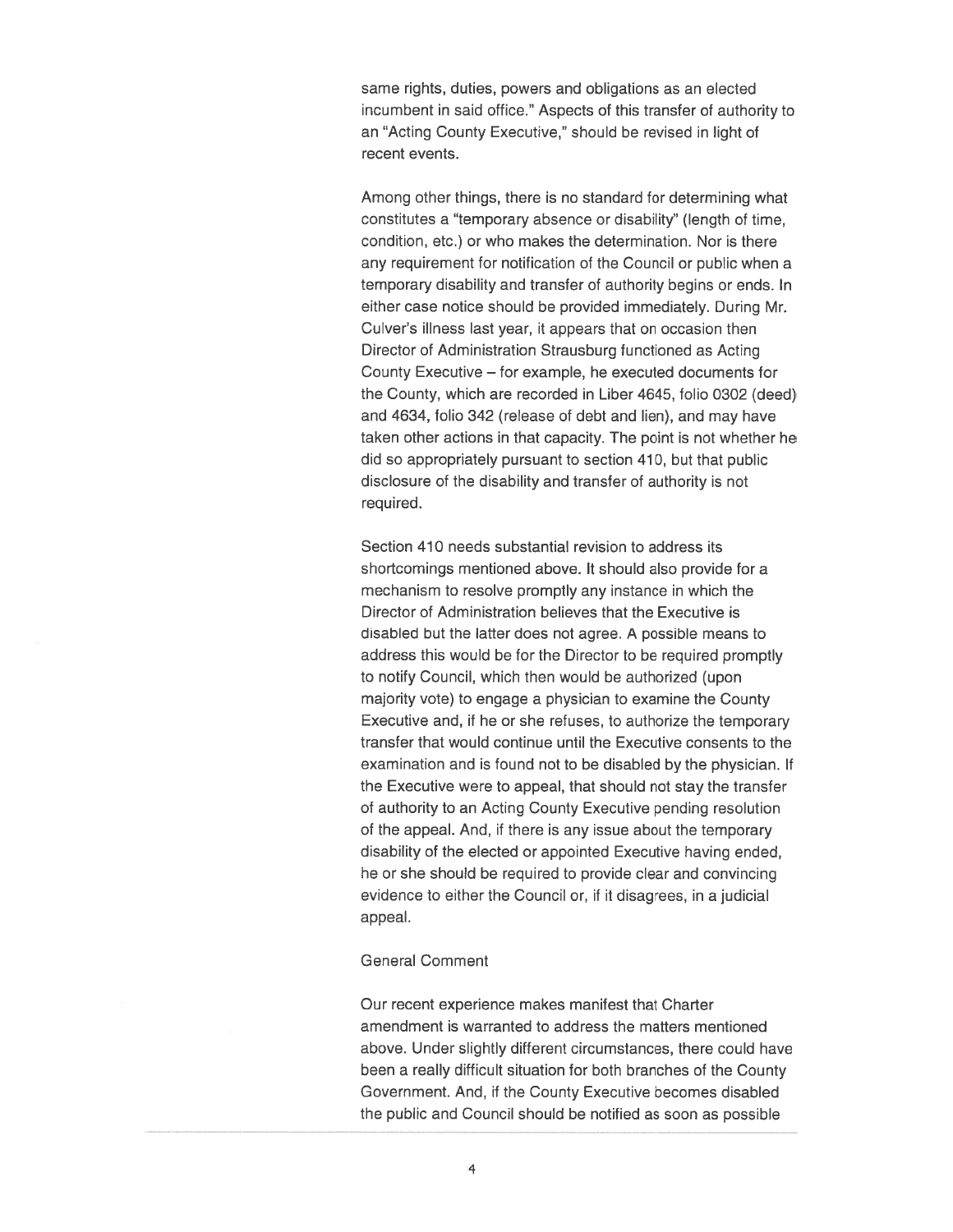same rights, duties, powers and obligations as an elected incumbent in said office." Aspects of this transfer of authority to an "Acting County Executive," should be revised in light of recent events.

Among other things, there is no standard for determining what constitutes <sup>a</sup> "temporary absence or disability" (length of time, condition, etc.) or who makes the determination. Nor is there any requirement for notification of the Council or public when <sup>a</sup> temporary disability and transfer of authority begins or ends. In either case notice should be provided immediately. During Mr. Culver's illness last year, it appears that on occasion then Director of Administration Strausburg functioned as Acting County Executive — for example, he executed documents for the County, which are recorded in Liber 4645, folio 0302 (deed) and 4634, folio 342 (release of debt and lien), and may have taken other actions in that capacity. The point is not whether he did so appropriately pursuan<sup>t</sup> to section 410, but that public disclosure of the disability and transfer of authority is not required.

Section 410 needs substantial revision to address its shortcomings mentioned above. It should also provide for <sup>a</sup> mechanism to resolve promptly any instance in which the Director of Administration believes that the Executive is disabled but the latter does not agree. A possible means to address this would be for the Director to be required promptly to notify Council, which then would be authorized (upon majority vote) to engage <sup>a</sup> physician to examine the County Executive and, it he or she refuses, to authorize the temporary transfer that would continue until the Executive consents to the examination and is found not to be disabled by the physician. If the Executive were to appeal, that should not stay the transfer of authority to an Acting County Executive pending resolution of the appeal. And, if there is any issue about the temporary disability of the elected or appointed Executive having ended, he or she should be required to provide clear and convincing evidence to either the Council or, if it disagrees, in <sup>a</sup> judicial appeal.

## General Comment

Our recent experience makes manifest that Charter amendment is warranted to address the matters mentioned above. Under slightly different circumstances, there could have been <sup>a</sup> really difficult situation for both branches of the County Government. And, if the County Executive becomes disabled the public and Council should be notified as soon as possible